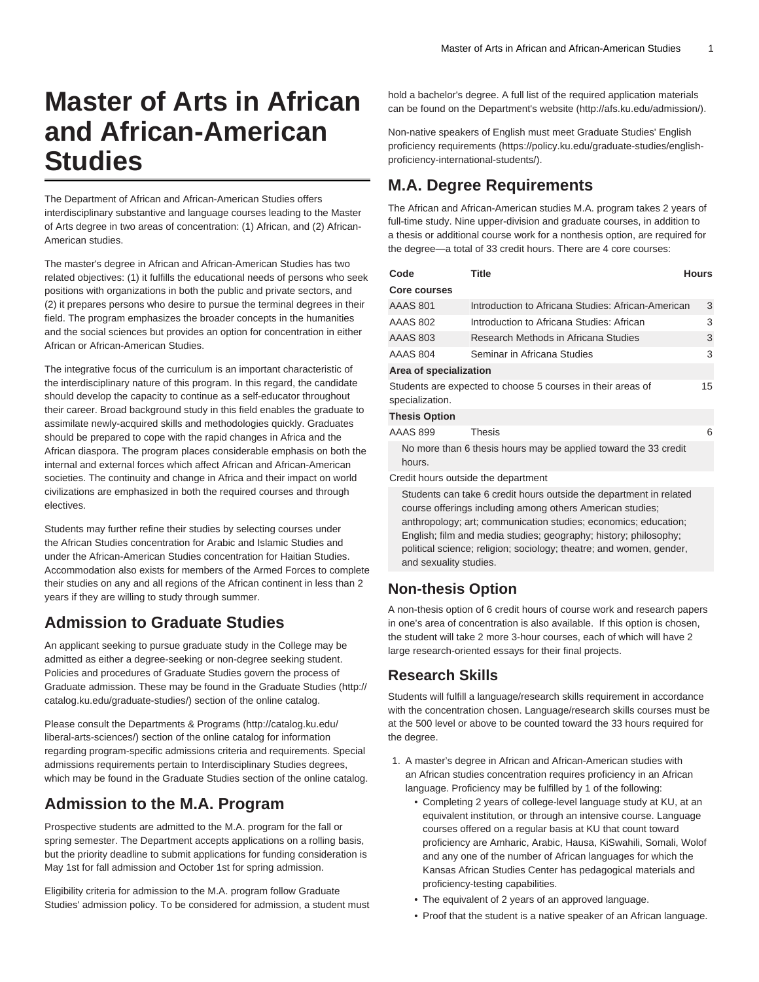# **Master of Arts in African and African-American Studies**

The Department of African and African-American Studies offers interdisciplinary substantive and language courses leading to the Master of Arts degree in two areas of concentration: (1) African, and (2) African-American studies.

The master's degree in African and African-American Studies has two related objectives: (1) it fulfills the educational needs of persons who seek positions with organizations in both the public and private sectors, and (2) it prepares persons who desire to pursue the terminal degrees in their field. The program emphasizes the broader concepts in the humanities and the social sciences but provides an option for concentration in either African or African-American Studies.

The integrative focus of the curriculum is an important characteristic of the interdisciplinary nature of this program. In this regard, the candidate should develop the capacity to continue as a self-educator throughout their career. Broad background study in this field enables the graduate to assimilate newly-acquired skills and methodologies quickly. Graduates should be prepared to cope with the rapid changes in Africa and the African diaspora. The program places considerable emphasis on both the internal and external forces which affect African and African-American societies. The continuity and change in Africa and their impact on world civilizations are emphasized in both the required courses and through electives.

Students may further refine their studies by selecting courses under the African Studies concentration for Arabic and Islamic Studies and under the African-American Studies concentration for Haitian Studies. Accommodation also exists for members of the Armed Forces to complete their studies on any and all regions of the African continent in less than 2 years if they are willing to study through summer.

## **Admission to Graduate Studies**

An applicant seeking to pursue graduate study in the College may be admitted as either a degree-seeking or non-degree seeking student. Policies and procedures of Graduate Studies govern the process of Graduate admission. These may be found in the [Graduate Studies](http://catalog.ku.edu/graduate-studies/) [\(http://](http://catalog.ku.edu/graduate-studies/) [catalog.ku.edu/graduate-studies/](http://catalog.ku.edu/graduate-studies/)) section of the online catalog.

Please consult the [Departments & Programs](http://catalog.ku.edu/liberal-arts-sciences/) ([http://catalog.ku.edu/](http://catalog.ku.edu/liberal-arts-sciences/) [liberal-arts-sciences/](http://catalog.ku.edu/liberal-arts-sciences/)) section of the online catalog for information regarding program-specific admissions criteria and requirements. Special admissions requirements pertain to Interdisciplinary Studies degrees, which may be found in the Graduate Studies section of the online catalog.

## **Admission to the M.A. Program**

Prospective students are admitted to the M.A. program for the fall or spring semester. The Department accepts applications on a rolling basis, but the priority deadline to submit applications for funding consideration is May 1st for fall admission and October 1st for spring admission.

Eligibility criteria for admission to the M.A. program follow Graduate Studies' admission policy. To be considered for admission, a student must hold a bachelor's degree. A full list of the required application materials can be found on the [Department's website](http://afs.ku.edu/admission/) (<http://afs.ku.edu/admission/>).

Non-native speakers of English must meet Graduate Studies' [English](https://policy.ku.edu/graduate-studies/english-proficiency-international-students/) [proficiency requirements](https://policy.ku.edu/graduate-studies/english-proficiency-international-students/) [\(https://policy.ku.edu/graduate-studies/english](https://policy.ku.edu/graduate-studies/english-proficiency-international-students/)[proficiency-international-students/\)](https://policy.ku.edu/graduate-studies/english-proficiency-international-students/).

## **M.A. Degree Requirements**

The African and African-American studies M.A. program takes 2 years of full-time study. Nine upper-division and graduate courses, in addition to a thesis or additional course work for a nonthesis option, are required for the degree—a total of 33 credit hours. There are 4 core courses:

| Code                                                                           | Title                                              | Hours |  |  |
|--------------------------------------------------------------------------------|----------------------------------------------------|-------|--|--|
| <b>Core courses</b>                                                            |                                                    |       |  |  |
| <b>AAAS 801</b>                                                                | Introduction to Africana Studies: African-American | 3     |  |  |
| AAAS 802                                                                       | Introduction to Africana Studies: African          | 3     |  |  |
| <b>AAAS 803</b>                                                                | Research Methods in Africana Studies               | 3     |  |  |
| <b>AAAS 804</b>                                                                | Seminar in Africana Studies                        | 3     |  |  |
| Area of specialization                                                         |                                                    |       |  |  |
| Students are expected to choose 5 courses in their areas of<br>specialization. |                                                    |       |  |  |
| <b>Thesis Option</b>                                                           |                                                    |       |  |  |
| AAAS 899                                                                       | <b>Thesis</b>                                      | 6     |  |  |
| No more than 6 thesis hours may be applied toward the 33 credit<br>hours.      |                                                    |       |  |  |
| Credit hours outside the department                                            |                                                    |       |  |  |
| Students can take 6 credit hours outside the department in related             |                                                    |       |  |  |

course offerings including among others American studies; anthropology; art; communication studies; economics; education; English; film and media studies; geography; history; philosophy; political science; religion; sociology; theatre; and women, gender, and sexuality studies.

#### **Non-thesis Option**

A non-thesis option of 6 credit hours of course work and research papers in one's area of concentration is also available. If this option is chosen, the student will take 2 more 3-hour courses, each of which will have 2 large research-oriented essays for their final projects.

#### **Research Skills**

Students will fulfill a language/research skills requirement in accordance with the concentration chosen. Language/research skills courses must be at the 500 level or above to be counted toward the 33 hours required for the degree.

- 1. A master's degree in African and African-American studies with an African studies concentration requires proficiency in an African language. Proficiency may be fulfilled by 1 of the following:
	- Completing 2 years of college-level language study at KU, at an equivalent institution, or through an intensive course. Language courses offered on a regular basis at KU that count toward proficiency are Amharic, Arabic, Hausa, KiSwahili, Somali, Wolof and any one of the number of African languages for which the Kansas African Studies Center has pedagogical materials and proficiency-testing capabilities.
	- The equivalent of 2 years of an approved language.
	- Proof that the student is a native speaker of an African language.